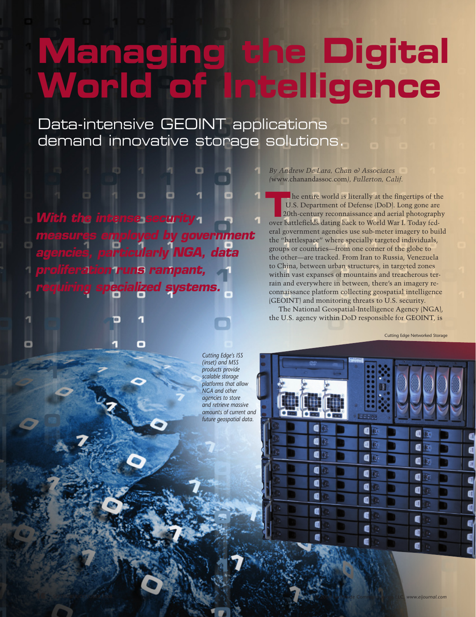## **Managing the Digital World of Intelligence**

Data-intensive GEOINT applications demand innovative storage solutions.

*With the intense security measures employed by government agencies, particularly NGA, data proliferation runs rampant, requiring specialized systems.*

o

о

*By Andrew De Lara, Chan & Associates (*www.chanandassoc.com*), Fullerton, Calif.*

he entire world is literally at the fingertips of the U.S. Department of Defense (DoD). Long gone are 20th-century reconnaissance and aerial photography The entire world is literally at the fingertips of the U.S. Department of Defense (DoD). Long gone are 20th-century reconnaissance and aerial photograph over battlefields dating back to World War I. Today federal government agencies use sub-meter imagery to build the "battlespace" where specially targeted individuals, groups or countries—from one corner of the globe to the other—are tracked. From Iran to Russia, Venezuela to China, between urban structures, in targeted zones within vast expanses of mountains and treacherous terrain and everywhere in between, there's an imagery reconnaissance platform collecting geospatial intelligence (GEOINT) and monitoring threats to U.S. security. The National Geospatial-Intelligence Agency (NGA),

the U.S. agency within DoD responsible for GEOINT, is

Cutting Edge Networked Storage

*Cutting Edge's ISS (inset) and MSS products provide scalable storage platforms that allow NGA and other agencies to store and retrieve massive amounts of current and future geospatial data.*

**16** SEPTEMBER/OCTOBER 2008 © 2008 Earthwide Communications LLC, *www.eijournal.com*

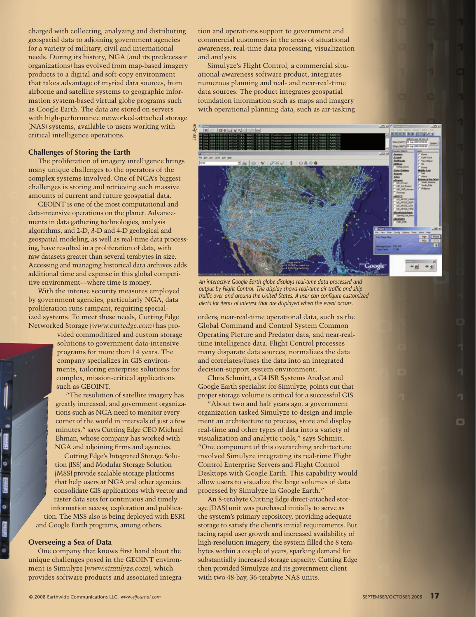charged with collecting, analyzing and distributing geospatial data to adjoining government agencies for a variety of military, civil and international needs. During its history, NGA (and its predecessor organizations) has evolved from map-based imagery products to a digital and soft-copy environment that takes advantage of myriad data sources, from airborne and satellite systems to geographic information system-based virtual globe programs such as Google Earth. The data are stored on servers with high-performance networked-attached storage (NAS) systems, available to users working with critical intelligence operations.

## **Challenges of Storing the Earth**

The proliferation of imagery intelligence brings many unique challenges to the operators of the complex systems involved. One of NGA's biggest challenges is storing and retrieving such massive amounts of current and future geospatial data.

GEOINT is one of the most computational and data-intensive operations on the planet. Advancements in data gathering technologies, analysis algorithms, and 2-D, 3-D and 4-D geological and geospatial modeling, as well as real-time data processing, have resulted in a proliferation of data, with raw datasets greater than several terabytes in size. Accessing and managing historical data archives adds additional time and expense in this global competitive environment—where time is money.

With the intense security measures employed by government agencies, particularly NGA, data proliferation runs rampant, requiring specialized systems. To meet these needs, Cutting Edge Networked Storage (*www.cuttedge.com*) has pro-

> vided commoditized and custom storage solutions to government data-intensive programs for more than 14 years. The company specializes in GIS environments, tailoring enterprise solutions for complex, mission-critical applications such as GEOINT.

"The resolution of satellite imagery has greatly increased, and government organizations such as NGA need to monitor every corner of the world in intervals of just a few minutes," says Cutting Edge CEO Michael Ehman, whose company has worked with NGA and adjoining firms and agencies.

Cutting Edge's Integrated Storage Solution (ISS) and Modular Storage Solution (MSS) provide scalable storage platforms that help users at NGA and other agencies consolidate GIS applications with vector and raster data sets for continuous and timely information access, exploration and publication. The MSS also is being deployed with ESRI and Google Earth programs, among others.

## **Overseeing a Sea of Data**

ö

**Provin** 

.

One company that knows first hand about the unique challenges posed in the GEOINT environment is Simulyze (*www.simulyze.com*), which provides software products and associated integra-

tion and operations support to government and commercial customers in the areas of situational awareness, real-time data processing, visualization and analysis.

Simulyze's Flight Control, a commercial situational-awareness software product, integrates numerous planning and real- and near-real-time data sources. The product integrates geospatial foundation information such as maps and imagery with operational planning data, such as air-tasking



*An interactive Google Earth globe displays real-time data processed and output by Flight Control. The display shows real-time air traffic and ship traffic over and around the United States. A user can configure customized alerts for items of interest that are displayed when the event occurs.*

orders; near-real-time operational data, such as the Global Command and Control System Common Operating Picture and Predator data; and near-realtime intelligence data. Flight Control processes many disparate data sources, normalizes the data and correlates/fuses the data into an integrated decision-support system environment.

Chris Schmitt, a C4 ISR Systems Analyst and Google Earth specialist for Simulyze, points out that proper storage volume is critical for a successful GIS.

"About two and half years ago, a government organization tasked Simulyze to design and implement an architecture to process, store and display real-time and other types of data into a variety of visualization and analytic tools," says Schmitt. "One component of this overarching architecture involved Simulyze integrating its real-time Flight Control Enterprise Servers and Flight Control Desktops with Google Earth. This capability would allow users to visualize the large volumes of data processed by Simulyze in Google Earth."

An 8-terabyte Cutting Edge direct-attached storage (DAS) unit was purchased initially to serve as the system's primary repository, providing adequate storage to satisfy the client's initial requirements. But facing rapid user growth and increased availability of high-resolution imagery, the system filled the 8 terabytes within a couple of years, sparking demand for substantially increased storage capacity. Cutting Edge then provided Simulyze and its government client with two 48-bay, 36-terabyte NAS units.

m